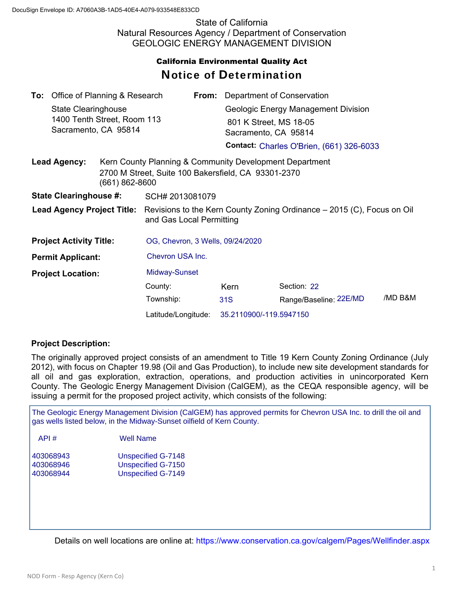State of California Natural Resources Agency / Department of Conservation GEOLOGIC ENERGY MANAGEMENT DIVISION

## California Environmental Quality Act Notice of Determination

|                                | <b>To:</b> Office of Planning & Research           |                                                                                                                                      |                                                                                                                |                         | From: Department of Conservation    |                                                 |         |  |
|--------------------------------|----------------------------------------------------|--------------------------------------------------------------------------------------------------------------------------------------|----------------------------------------------------------------------------------------------------------------|-------------------------|-------------------------------------|-------------------------------------------------|---------|--|
|                                | State Clearinghouse<br>1400 Tenth Street, Room 113 |                                                                                                                                      |                                                                                                                |                         | Geologic Energy Management Division |                                                 |         |  |
|                                |                                                    |                                                                                                                                      |                                                                                                                |                         | 801 K Street, MS 18-05              |                                                 |         |  |
| Sacramento, CA 95814           |                                                    |                                                                                                                                      |                                                                                                                |                         | Sacramento, CA 95814                |                                                 |         |  |
|                                |                                                    |                                                                                                                                      |                                                                                                                |                         |                                     | <b>Contact: Charles O'Brien, (661) 326-6033</b> |         |  |
|                                | <b>Lead Agency:</b>                                | (661) 862-8600                                                                                                                       | Kern County Planning & Community Development Department<br>2700 M Street, Suite 100 Bakersfield, CA 93301-2370 |                         |                                     |                                                 |         |  |
| <b>State Clearinghouse #:</b>  |                                                    |                                                                                                                                      | SCH# 2013081079                                                                                                |                         |                                     |                                                 |         |  |
|                                |                                                    | <b>Lead Agency Project Title:</b> Revisions to the Kern County Zoning Ordinance – 2015 (C), Focus on Oil<br>and Gas Local Permitting |                                                                                                                |                         |                                     |                                                 |         |  |
| <b>Project Activity Title:</b> |                                                    |                                                                                                                                      | OG, Chevron, 3 Wells, 09/24/2020                                                                               |                         |                                     |                                                 |         |  |
| <b>Permit Applicant:</b>       |                                                    |                                                                                                                                      | Chevron USA Inc.                                                                                               |                         |                                     |                                                 |         |  |
| <b>Project Location:</b>       |                                                    | Midway-Sunset                                                                                                                        |                                                                                                                |                         |                                     |                                                 |         |  |
|                                |                                                    |                                                                                                                                      | County:                                                                                                        |                         | Kern                                | Section: 22                                     |         |  |
|                                |                                                    |                                                                                                                                      | Township:                                                                                                      |                         | 31S                                 | Range/Baseline: 22E/MD                          | /MD B&M |  |
|                                |                                                    | Latitude/Longitude:                                                                                                                  |                                                                                                                | 35.2110900/-119.5947150 |                                     |                                                 |         |  |

## **Project Description:**

The originally approved project consists of an amendment to Title 19 Kern County Zoning Ordinance (July 2012), with focus on Chapter 19.98 (Oil and Gas Production), to include new site development standards for all oil and gas exploration, extraction, operations, and production activities in unincorporated Kern County. The Geologic Energy Management Division (CalGEM), as the CEQA responsible agency, will be issuing a permit for the proposed project activity, which consists of the following:

The Geologic Energy Management Division (CalGEM) has approved permits for Chevron USA Inc. to drill the oil and gas wells listed below, in the Midway-Sunset oilfield of Kern County.

| API#      | Well Name          |  |  |
|-----------|--------------------|--|--|
| 403068943 | Unspecified G-7148 |  |  |

| 403068943 | Unspecified G-7148 |
|-----------|--------------------|
| 403068946 | Unspecified G-7150 |
| 403068944 | Unspecified G-7149 |

Details on well locations are online at: https://www.conservation.ca.gov/calgem/Pages/Wellfinder.aspx